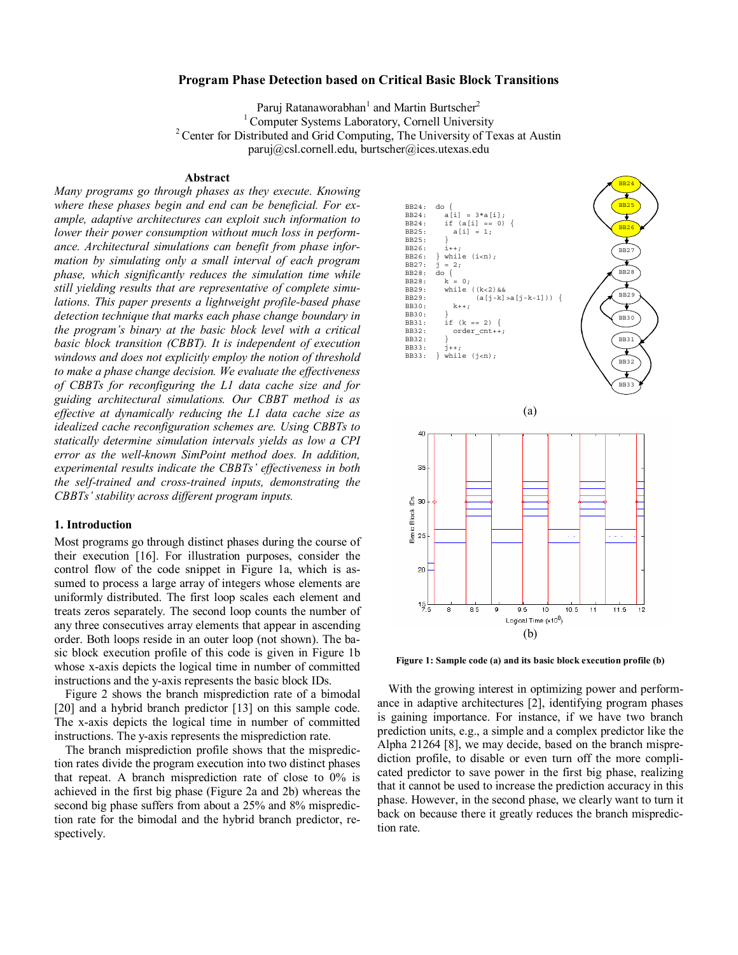# **Program Phase Detection based on Critical Basic Block Transitions**

Paruj Ratanaworabhan<sup>1</sup> and Martin Burtscher<sup>2</sup> <sup>1</sup> Computer Systems Laboratory, Cornell University <sup>2</sup> Center for Distributed and Grid Computing, The University of Texas at Austin paruj@csl.cornell.edu, burtscher@ices.utexas.edu

## **Abstract**

*Many programs go through phases as they execute. Knowing where these phases begin and end can be beneficial. For example, adaptive architectures can exploit such information to lower their power consumption without much loss in performance. Architectural simulations can benefit from phase information by simulating only a small interval of each program phase, which significantly reduces the simulation time while still yielding results that are representative of complete simulations. This paper presents a lightweight profile-based phase detection technique that marks each phase change boundary in the program's binary at the basic block level with a critical basic block transition (CBBT). It is independent of execution windows and does not explicitly employ the notion of threshold to make a phase change decision. We evaluate the effectiveness of CBBTs for reconfiguring the L1 data cache size and for guiding architectural simulations. Our CBBT method is as effective at dynamically reducing the L1 data cache size as idealized cache reconfiguration schemes are. Using CBBTs to statically determine simulation intervals yields as low a CPI error as the well-known SimPoint method does. In addition, experimental results indicate the CBBTs' effectiveness in both the self-trained and cross-trained inputs, demonstrating the CBBTs' stability across different program inputs.* 

#### **1. Introduction**

Most programs go through distinct phases during the course of their execution [16]. For illustration purposes, consider the control flow of the code snippet in Figure 1a, which is assumed to process a large array of integers whose elements are uniformly distributed. The first loop scales each element and treats zeros separately. The second loop counts the number of any three consecutives array elements that appear in ascending order. Both loops reside in an outer loop (not shown). The basic block execution profile of this code is given in Figure 1b whose x-axis depicts the logical time in number of committed instructions and the y-axis represents the basic block IDs.

Figure 2 shows the branch misprediction rate of a bimodal [20] and a hybrid branch predictor [13] on this sample code. The x-axis depicts the logical time in number of committed instructions. The y-axis represents the misprediction rate.

The branch misprediction profile shows that the misprediction rates divide the program execution into two distinct phases that repeat. A branch misprediction rate of close to 0% is achieved in the first big phase (Figure 2a and 2b) whereas the second big phase suffers from about a 25% and 8% misprediction rate for the bimodal and the hybrid branch predictor, respectively.



**Figure 1: Sample code (a) and its basic block execution profile (b)** 

With the growing interest in optimizing power and performance in adaptive architectures [2], identifying program phases is gaining importance. For instance, if we have two branch prediction units, e.g., a simple and a complex predictor like the Alpha 21264 [8], we may decide, based on the branch misprediction profile, to disable or even turn off the more complicated predictor to save power in the first big phase, realizing that it cannot be used to increase the prediction accuracy in this phase. However, in the second phase, we clearly want to turn it back on because there it greatly reduces the branch misprediction rate.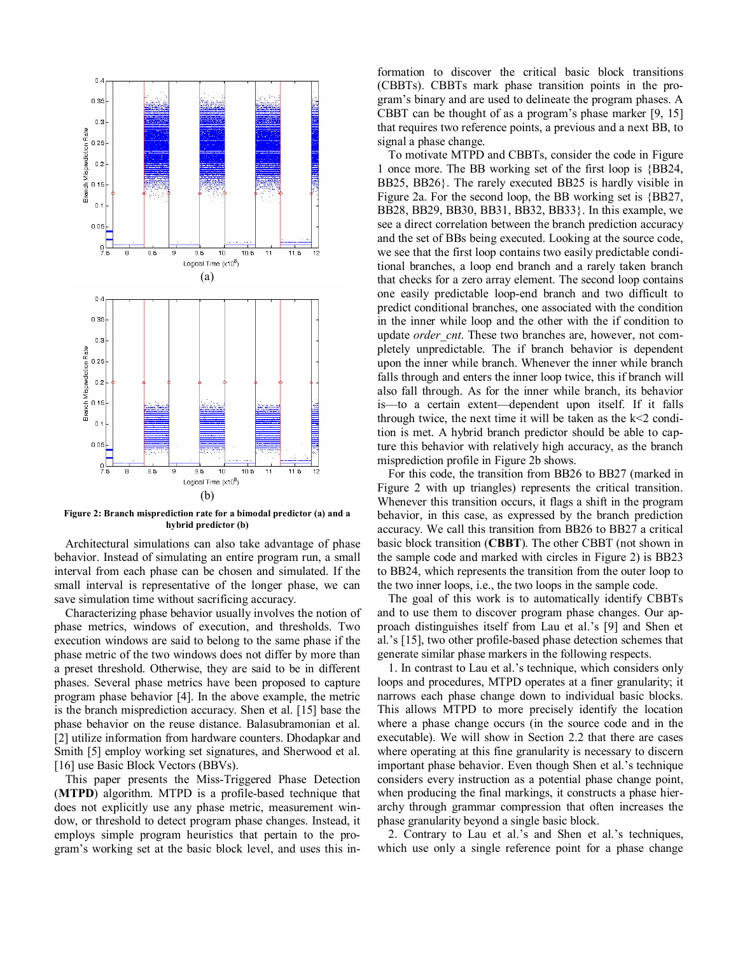

**Figure 2: Branch misprediction rate for a bimodal predictor (a) and a hybrid predictor (b)** 

Architectural simulations can also take advantage of phase behavior. Instead of simulating an entire program run, a small interval from each phase can be chosen and simulated. If the small interval is representative of the longer phase, we can save simulation time without sacrificing accuracy.

Characterizing phase behavior usually involves the notion of phase metrics, windows of execution, and thresholds. Two execution windows are said to belong to the same phase if the phase metric of the two windows does not differ by more than a preset threshold. Otherwise, they are said to be in different phases. Several phase metrics have been proposed to capture program phase behavior [4]. In the above example, the metric is the branch misprediction accuracy. Shen et al. [15] base the phase behavior on the reuse distance. Balasubramonian et al. [2] utilize information from hardware counters. Dhodapkar and Smith [5] employ working set signatures, and Sherwood et al. [16] use Basic Block Vectors (BBVs).

This paper presents the Miss-Triggered Phase Detection (**MTPD**) algorithm. MTPD is a profile-based technique that does not explicitly use any phase metric, measurement window, or threshold to detect program phase changes. Instead, it employs simple program heuristics that pertain to the program's working set at the basic block level, and uses this information to discover the critical basic block transitions (CBBTs). CBBTs mark phase transition points in the program's binary and are used to delineate the program phases. A CBBT can be thought of as a program's phase marker [9, 15] that requires two reference points, a previous and a next BB, to signal a phase change.

To motivate MTPD and CBBTs, consider the code in Figure 1 once more. The BB working set of the first loop is {BB24, BB25, BB26}. The rarely executed BB25 is hardly visible in Figure 2a. For the second loop, the BB working set is {BB27, BB28, BB29, BB30, BB31, BB32, BB33}. In this example, we see a direct correlation between the branch prediction accuracy and the set of BBs being executed. Looking at the source code, we see that the first loop contains two easily predictable conditional branches, a loop end branch and a rarely taken branch that checks for a zero array element. The second loop contains one easily predictable loop-end branch and two difficult to predict conditional branches, one associated with the condition in the inner while loop and the other with the if condition to update *order* cnt. These two branches are, however, not completely unpredictable. The if branch behavior is dependent upon the inner while branch. Whenever the inner while branch falls through and enters the inner loop twice, this if branch will also fall through. As for the inner while branch, its behavior is—to a certain extent—dependent upon itself. If it falls through twice, the next time it will be taken as the  $k<2$  condition is met. A hybrid branch predictor should be able to capture this behavior with relatively high accuracy, as the branch misprediction profile in Figure 2b shows.

For this code, the transition from BB26 to BB27 (marked in Figure 2 with up triangles) represents the critical transition. Whenever this transition occurs, it flags a shift in the program behavior, in this case, as expressed by the branch prediction accuracy. We call this transition from BB26 to BB27 a critical basic block transition (**CBBT**). The other CBBT (not shown in the sample code and marked with circles in Figure 2) is BB23 to BB24, which represents the transition from the outer loop to the two inner loops, i.e., the two loops in the sample code.

The goal of this work is to automatically identify CBBTs and to use them to discover program phase changes. Our approach distinguishes itself from Lau et al.'s [9] and Shen et al.'s [15], two other profile-based phase detection schemes that generate similar phase markers in the following respects.

1. In contrast to Lau et al.'s technique, which considers only loops and procedures, MTPD operates at a finer granularity; it narrows each phase change down to individual basic blocks. This allows MTPD to more precisely identify the location where a phase change occurs (in the source code and in the executable). We will show in Section 2.2 that there are cases where operating at this fine granularity is necessary to discern important phase behavior. Even though Shen et al.'s technique considers every instruction as a potential phase change point, when producing the final markings, it constructs a phase hierarchy through grammar compression that often increases the phase granularity beyond a single basic block.

2. Contrary to Lau et al.'s and Shen et al.'s techniques, which use only a single reference point for a phase change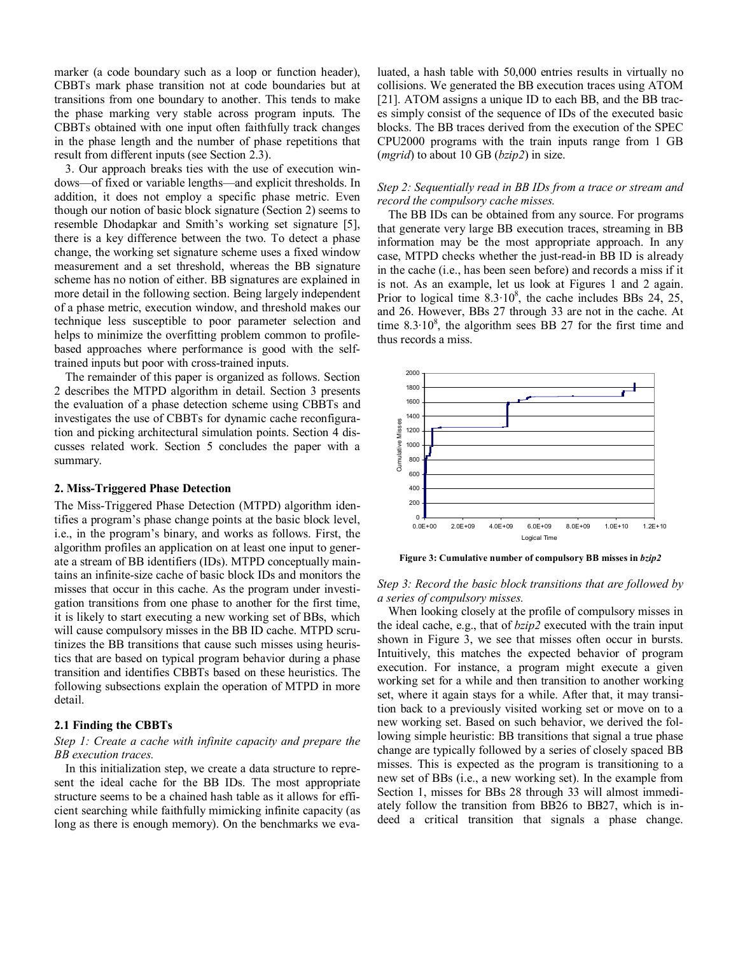marker (a code boundary such as a loop or function header), CBBTs mark phase transition not at code boundaries but at transitions from one boundary to another. This tends to make the phase marking very stable across program inputs. The CBBTs obtained with one input often faithfully track changes in the phase length and the number of phase repetitions that result from different inputs (see Section 2.3).

3. Our approach breaks ties with the use of execution windows—of fixed or variable lengths—and explicit thresholds. In addition, it does not employ a specific phase metric. Even though our notion of basic block signature (Section 2) seems to resemble Dhodapkar and Smith's working set signature [5], there is a key difference between the two. To detect a phase change, the working set signature scheme uses a fixed window measurement and a set threshold, whereas the BB signature scheme has no notion of either. BB signatures are explained in more detail in the following section. Being largely independent of a phase metric, execution window, and threshold makes our technique less susceptible to poor parameter selection and helps to minimize the overfitting problem common to profilebased approaches where performance is good with the selftrained inputs but poor with cross-trained inputs.

The remainder of this paper is organized as follows. Section 2 describes the MTPD algorithm in detail. Section 3 presents the evaluation of a phase detection scheme using CBBTs and investigates the use of CBBTs for dynamic cache reconfiguration and picking architectural simulation points. Section 4 discusses related work. Section 5 concludes the paper with a summary.

## **2. Miss-Triggered Phase Detection**

The Miss-Triggered Phase Detection (MTPD) algorithm identifies a program's phase change points at the basic block level, i.e., in the program's binary, and works as follows. First, the algorithm profiles an application on at least one input to generate a stream of BB identifiers (IDs). MTPD conceptually maintains an infinite-size cache of basic block IDs and monitors the misses that occur in this cache. As the program under investigation transitions from one phase to another for the first time, it is likely to start executing a new working set of BBs, which will cause compulsory misses in the BB ID cache. MTPD scrutinizes the BB transitions that cause such misses using heuristics that are based on typical program behavior during a phase transition and identifies CBBTs based on these heuristics. The following subsections explain the operation of MTPD in more detail.

# **2.1 Finding the CBBTs**

# *Step 1: Create a cache with infinite capacity and prepare the BB execution traces.*

In this initialization step, we create a data structure to represent the ideal cache for the BB IDs. The most appropriate structure seems to be a chained hash table as it allows for efficient searching while faithfully mimicking infinite capacity (as long as there is enough memory). On the benchmarks we evaluated, a hash table with 50,000 entries results in virtually no collisions. We generated the BB execution traces using ATOM [21]. ATOM assigns a unique ID to each BB, and the BB traces simply consist of the sequence of IDs of the executed basic blocks. The BB traces derived from the execution of the SPEC CPU2000 programs with the train inputs range from 1 GB (*mgrid*) to about 10 GB (*bzip2*) in size.

# *Step 2: Sequentially read in BB IDs from a trace or stream and record the compulsory cache misses.*

The BB IDs can be obtained from any source. For programs that generate very large BB execution traces, streaming in BB information may be the most appropriate approach. In any case, MTPD checks whether the just-read-in BB ID is already in the cache (i.e., has been seen before) and records a miss if it is not. As an example, let us look at Figures 1 and 2 again. Prior to logical time  $8.3 \cdot 10^8$ , the cache includes BBs 24, 25, and 26. However, BBs 27 through 33 are not in the cache. At time  $8.3 \cdot 10^8$ , the algorithm sees BB 27 for the first time and thus records a miss.



**Figure 3: Cumulative number of compulsory BB misses in** *bzip2*

# *Step 3: Record the basic block transitions that are followed by a series of compulsory misses.*

When looking closely at the profile of compulsory misses in the ideal cache, e.g., that of *bzip2* executed with the train input shown in Figure 3, we see that misses often occur in bursts. Intuitively, this matches the expected behavior of program execution. For instance, a program might execute a given working set for a while and then transition to another working set, where it again stays for a while. After that, it may transition back to a previously visited working set or move on to a new working set. Based on such behavior, we derived the following simple heuristic: BB transitions that signal a true phase change are typically followed by a series of closely spaced BB misses. This is expected as the program is transitioning to a new set of BBs (i.e., a new working set). In the example from Section 1, misses for BBs 28 through 33 will almost immediately follow the transition from BB26 to BB27, which is indeed a critical transition that signals a phase change.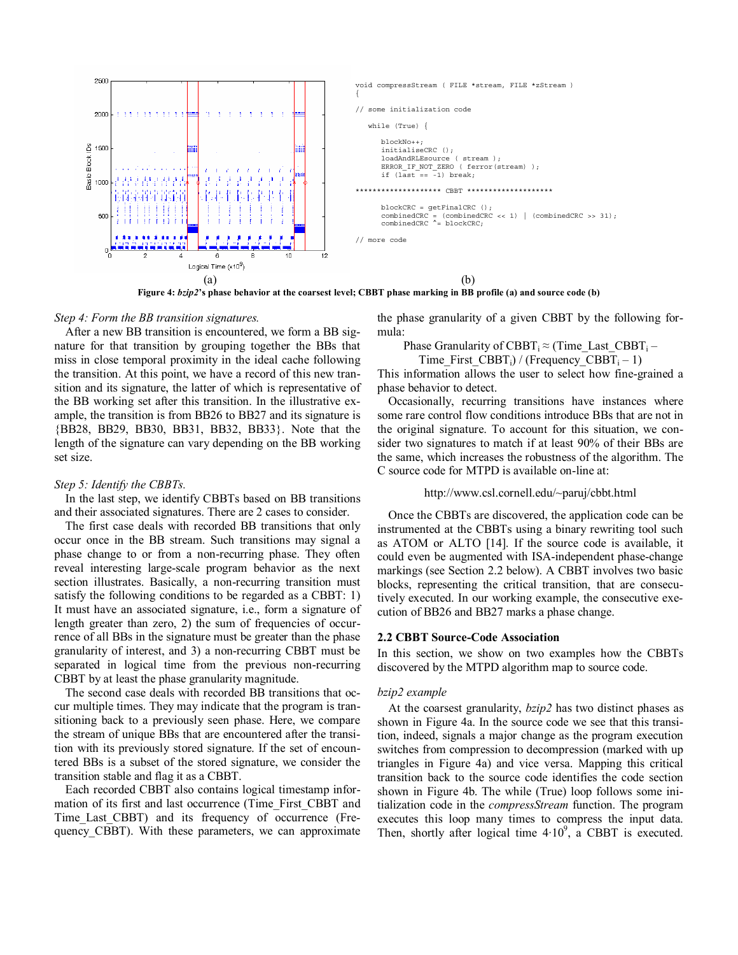

**Figure 4:** *bzip2***'s phase behavior at the coarsest level; CBBT phase marking in BB profile (a) and source code (b)** 

# *Step 4: Form the BB transition signatures.*

After a new BB transition is encountered, we form a BB signature for that transition by grouping together the BBs that miss in close temporal proximity in the ideal cache following the transition. At this point, we have a record of this new transition and its signature, the latter of which is representative of the BB working set after this transition. In the illustrative example, the transition is from BB26 to BB27 and its signature is {BB28, BB29, BB30, BB31, BB32, BB33}. Note that the length of the signature can vary depending on the BB working set size.

#### *Step 5: Identify the CBBTs.*

In the last step, we identify CBBTs based on BB transitions and their associated signatures. There are 2 cases to consider.

The first case deals with recorded BB transitions that only occur once in the BB stream. Such transitions may signal a phase change to or from a non-recurring phase. They often reveal interesting large-scale program behavior as the next section illustrates. Basically, a non-recurring transition must satisfy the following conditions to be regarded as a CBBT: 1) It must have an associated signature, i.e., form a signature of length greater than zero, 2) the sum of frequencies of occurrence of all BBs in the signature must be greater than the phase granularity of interest, and 3) a non-recurring CBBT must be separated in logical time from the previous non-recurring CBBT by at least the phase granularity magnitude.

The second case deals with recorded BB transitions that occur multiple times. They may indicate that the program is transitioning back to a previously seen phase. Here, we compare the stream of unique BBs that are encountered after the transition with its previously stored signature. If the set of encountered BBs is a subset of the stored signature, we consider the transition stable and flag it as a CBBT.

Each recorded CBBT also contains logical timestamp information of its first and last occurrence (Time\_First\_CBBT and Time Last CBBT) and its frequency of occurrence (Frequency\_CBBT). With these parameters, we can approximate the phase granularity of a given CBBT by the following formula:

Phase Granularity of CBBT<sub>i</sub>  $\approx$  (Time\_Last\_CBBT<sub>i</sub> –

Time First CBBT<sub>i</sub>) / (Frequency CBBT<sub>i</sub> – 1)

This information allows the user to select how fine-grained a phase behavior to detect.

Occasionally, recurring transitions have instances where some rare control flow conditions introduce BBs that are not in the original signature. To account for this situation, we consider two signatures to match if at least 90% of their BBs are the same, which increases the robustness of the algorithm. The C source code for MTPD is available on-line at:

#### http://www.csl.cornell.edu/~paruj/cbbt.html

Once the CBBTs are discovered, the application code can be instrumented at the CBBTs using a binary rewriting tool such as ATOM or ALTO [14]. If the source code is available, it could even be augmented with ISA-independent phase-change markings (see Section 2.2 below). A CBBT involves two basic blocks, representing the critical transition, that are consecutively executed. In our working example, the consecutive execution of BB26 and BB27 marks a phase change.

# **2.2 CBBT Source-Code Association**

In this section, we show on two examples how the CBBTs discovered by the MTPD algorithm map to source code.

### *bzip2 example*

At the coarsest granularity, *bzip2* has two distinct phases as shown in Figure 4a. In the source code we see that this transition, indeed, signals a major change as the program execution switches from compression to decompression (marked with up triangles in Figure 4a) and vice versa. Mapping this critical transition back to the source code identifies the code section shown in Figure 4b. The while (True) loop follows some initialization code in the *compressStream* function. The program executes this loop many times to compress the input data. Then, shortly after logical time  $4·10<sup>9</sup>$ , a CBBT is executed.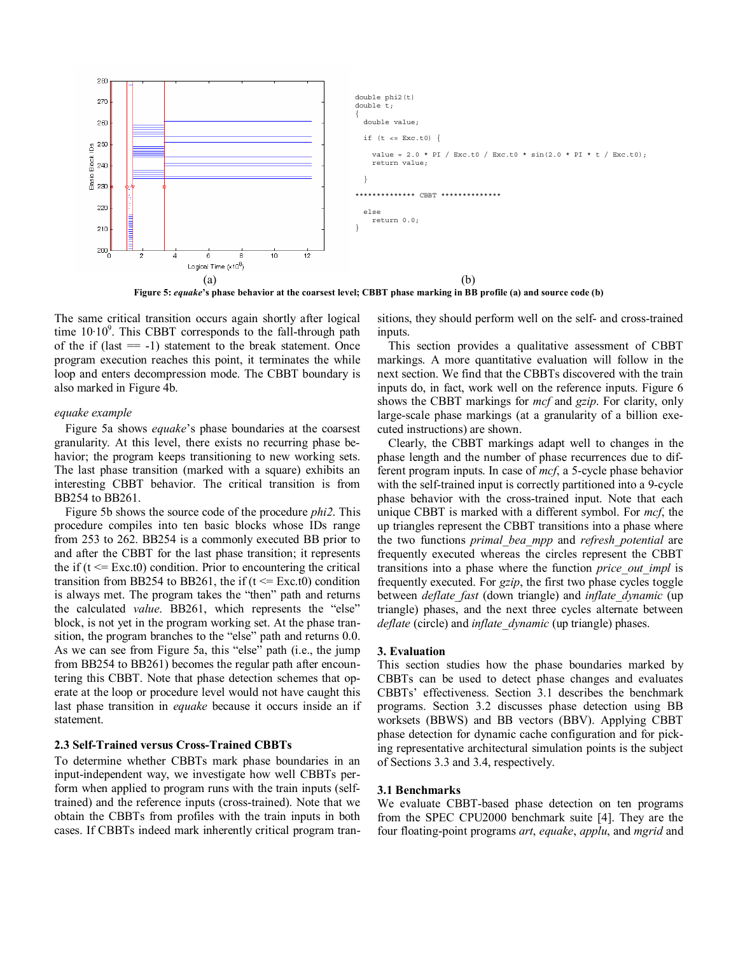

**Figure 5:** *equake***'s phase behavior at the coarsest level; CBBT phase marking in BB profile (a) and source code (b)** 

The same critical transition occurs again shortly after logical time  $10·10<sup>9</sup>$ . This CBBT corresponds to the fall-through path of the if  $(last = -1)$  statement to the break statement. Once program execution reaches this point, it terminates the while loop and enters decompression mode. The CBBT boundary is also marked in Figure 4b.

### *equake example*

Figure 5a shows *equake*'s phase boundaries at the coarsest granularity. At this level, there exists no recurring phase behavior; the program keeps transitioning to new working sets. The last phase transition (marked with a square) exhibits an interesting CBBT behavior. The critical transition is from BB254 to BB261.

Figure 5b shows the source code of the procedure *phi2*. This procedure compiles into ten basic blocks whose IDs range from 253 to 262. BB254 is a commonly executed BB prior to and after the CBBT for the last phase transition; it represents the if  $(t \leq Exc.t0)$  condition. Prior to encountering the critical transition from BB254 to BB261, the if  $(t \leq Exc.t0)$  condition is always met. The program takes the "then" path and returns the calculated *value*. BB261, which represents the "else" block, is not yet in the program working set. At the phase transition, the program branches to the "else" path and returns 0.0. As we can see from Figure 5a, this "else" path (i.e., the jump from BB254 to BB261) becomes the regular path after encountering this CBBT. Note that phase detection schemes that operate at the loop or procedure level would not have caught this last phase transition in *equake* because it occurs inside an if statement.

## **2.3 Self-Trained versus Cross-Trained CBBTs**

To determine whether CBBTs mark phase boundaries in an input-independent way, we investigate how well CBBTs perform when applied to program runs with the train inputs (selftrained) and the reference inputs (cross-trained). Note that we obtain the CBBTs from profiles with the train inputs in both cases. If CBBTs indeed mark inherently critical program transitions, they should perform well on the self- and cross-trained inputs.

This section provides a qualitative assessment of CBBT markings. A more quantitative evaluation will follow in the next section. We find that the CBBTs discovered with the train inputs do, in fact, work well on the reference inputs. Figure 6 shows the CBBT markings for *mcf* and *gzip*. For clarity, only large-scale phase markings (at a granularity of a billion executed instructions) are shown.

Clearly, the CBBT markings adapt well to changes in the phase length and the number of phase recurrences due to different program inputs. In case of *mcf*, a 5-cycle phase behavior with the self-trained input is correctly partitioned into a 9-cycle phase behavior with the cross-trained input. Note that each unique CBBT is marked with a different symbol. For *mcf*, the up triangles represent the CBBT transitions into a phase where the two functions *primal\_bea\_mpp* and *refresh\_potential* are frequently executed whereas the circles represent the CBBT transitions into a phase where the function *price\_out\_impl* is frequently executed. For *gzip*, the first two phase cycles toggle between *deflate\_fast* (down triangle) and *inflate\_dynamic* (up triangle) phases, and the next three cycles alternate between *deflate* (circle) and *inflate\_dynamic* (up triangle) phases.

#### **3. Evaluation**

This section studies how the phase boundaries marked by CBBTs can be used to detect phase changes and evaluates CBBTs' effectiveness. Section 3.1 describes the benchmark programs. Section 3.2 discusses phase detection using BB worksets (BBWS) and BB vectors (BBV). Applying CBBT phase detection for dynamic cache configuration and for picking representative architectural simulation points is the subject of Sections 3.3 and 3.4, respectively.

### **3.1 Benchmarks**

We evaluate CBBT-based phase detection on ten programs from the SPEC CPU2000 benchmark suite [4]. They are the four floating-point programs *art*, *equake*, *applu*, and *mgrid* and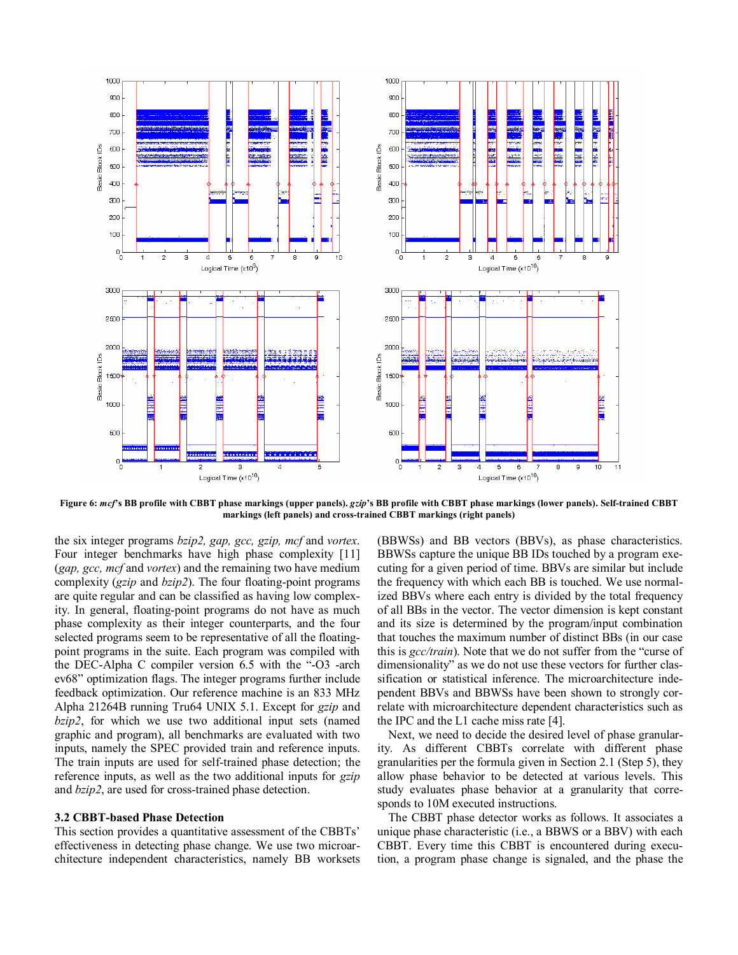

**Figure 6:** *mcf***'s BB profile with CBBT phase markings (upper panels).** *gzip***'s BB profile with CBBT phase markings (lower panels). Self-trained CBBT markings (left panels) and cross-trained CBBT markings (right panels)** 

the six integer programs *bzip2, gap, gcc, gzip, mcf* and *vortex*. Four integer benchmarks have high phase complexity [11] (*gap, gcc, mcf* and *vortex*) and the remaining two have medium complexity (*gzip* and *bzip2*). The four floating-point programs are quite regular and can be classified as having low complexity. In general, floating-point programs do not have as much phase complexity as their integer counterparts, and the four selected programs seem to be representative of all the floatingpoint programs in the suite. Each program was compiled with the DEC-Alpha C compiler version 6.5 with the "-O3 -arch ev68" optimization flags. The integer programs further include feedback optimization. Our reference machine is an 833 MHz Alpha 21264B running Tru64 UNIX 5.1. Except for *gzip* and *bzip2*, for which we use two additional input sets (named graphic and program), all benchmarks are evaluated with two inputs, namely the SPEC provided train and reference inputs. The train inputs are used for self-trained phase detection; the reference inputs, as well as the two additional inputs for *gzip* and *bzip2*, are used for cross-trained phase detection.

### **3.2 CBBT-based Phase Detection**

This section provides a quantitative assessment of the CBBTs' effectiveness in detecting phase change. We use two microarchitecture independent characteristics, namely BB worksets

(BBWSs) and BB vectors (BBVs), as phase characteristics. BBWSs capture the unique BB IDs touched by a program executing for a given period of time. BBVs are similar but include the frequency with which each BB is touched. We use normalized BBVs where each entry is divided by the total frequency of all BBs in the vector. The vector dimension is kept constant and its size is determined by the program/input combination that touches the maximum number of distinct BBs (in our case this is *gcc/train*). Note that we do not suffer from the "curse of dimensionality" as we do not use these vectors for further classification or statistical inference. The microarchitecture independent BBVs and BBWSs have been shown to strongly correlate with microarchitecture dependent characteristics such as the IPC and the L1 cache miss rate [4].

Next, we need to decide the desired level of phase granularity. As different CBBTs correlate with different phase granularities per the formula given in Section 2.1 (Step 5), they allow phase behavior to be detected at various levels. This study evaluates phase behavior at a granularity that corresponds to 10M executed instructions.

The CBBT phase detector works as follows. It associates a unique phase characteristic (i.e., a BBWS or a BBV) with each CBBT. Every time this CBBT is encountered during execution, a program phase change is signaled, and the phase the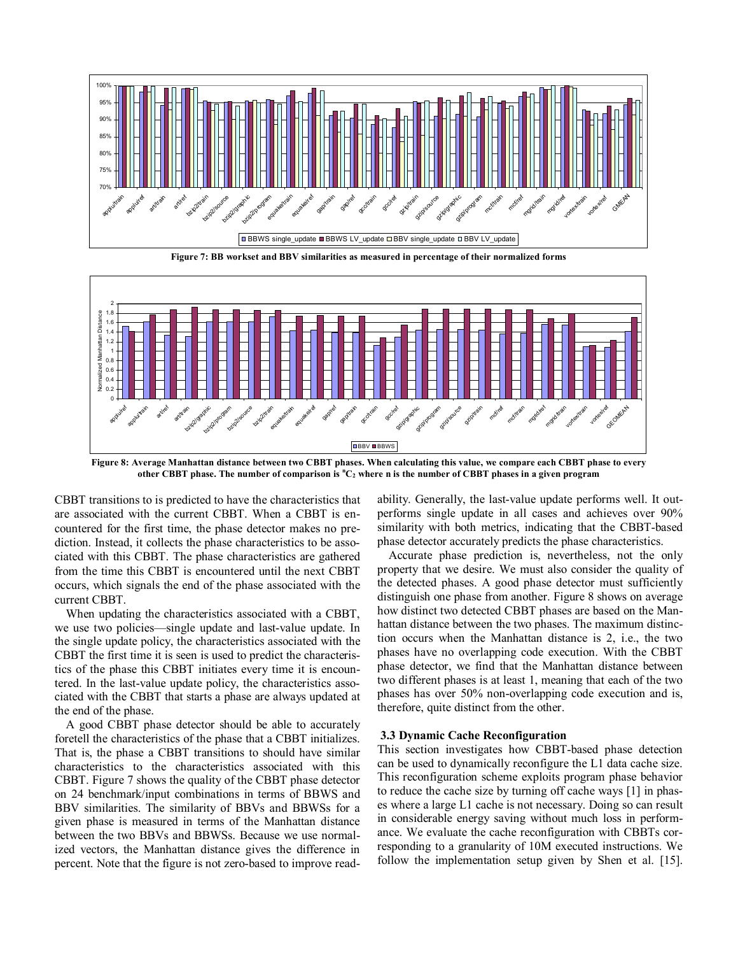

**Figure 7: BB workset and BBV similarities as measured in percentage of their normalized forms** 



**Figure 8: Average Manhattan distance between two CBBT phases. When calculating this value, we compare each CBBT phase to every other CBBT phase. The number of comparison is <sup>n</sup> C2 where n is the number of CBBT phases in a given program** 

CBBT transitions to is predicted to have the characteristics that are associated with the current CBBT. When a CBBT is encountered for the first time, the phase detector makes no prediction. Instead, it collects the phase characteristics to be associated with this CBBT. The phase characteristics are gathered from the time this CBBT is encountered until the next CBBT occurs, which signals the end of the phase associated with the current CBBT.

When updating the characteristics associated with a CBBT, we use two policies—single update and last-value update. In the single update policy, the characteristics associated with the CBBT the first time it is seen is used to predict the characteristics of the phase this CBBT initiates every time it is encountered. In the last-value update policy, the characteristics associated with the CBBT that starts a phase are always updated at the end of the phase.

A good CBBT phase detector should be able to accurately foretell the characteristics of the phase that a CBBT initializes. That is, the phase a CBBT transitions to should have similar characteristics to the characteristics associated with this CBBT. Figure 7 shows the quality of the CBBT phase detector on 24 benchmark/input combinations in terms of BBWS and BBV similarities. The similarity of BBVs and BBWSs for a given phase is measured in terms of the Manhattan distance between the two BBVs and BBWSs. Because we use normalized vectors, the Manhattan distance gives the difference in percent. Note that the figure is not zero-based to improve readability. Generally, the last-value update performs well. It outperforms single update in all cases and achieves over 90% similarity with both metrics, indicating that the CBBT-based phase detector accurately predicts the phase characteristics.

Accurate phase prediction is, nevertheless, not the only property that we desire. We must also consider the quality of the detected phases. A good phase detector must sufficiently distinguish one phase from another. Figure 8 shows on average how distinct two detected CBBT phases are based on the Manhattan distance between the two phases. The maximum distinction occurs when the Manhattan distance is 2, i.e., the two phases have no overlapping code execution. With the CBBT phase detector, we find that the Manhattan distance between two different phases is at least 1, meaning that each of the two phases has over 50% non-overlapping code execution and is, therefore, quite distinct from the other.

# **3.3 Dynamic Cache Reconfiguration**

This section investigates how CBBT-based phase detection can be used to dynamically reconfigure the L1 data cache size. This reconfiguration scheme exploits program phase behavior to reduce the cache size by turning off cache ways [1] in phases where a large L1 cache is not necessary. Doing so can result in considerable energy saving without much loss in performance. We evaluate the cache reconfiguration with CBBTs corresponding to a granularity of 10M executed instructions. We follow the implementation setup given by Shen et al. [15].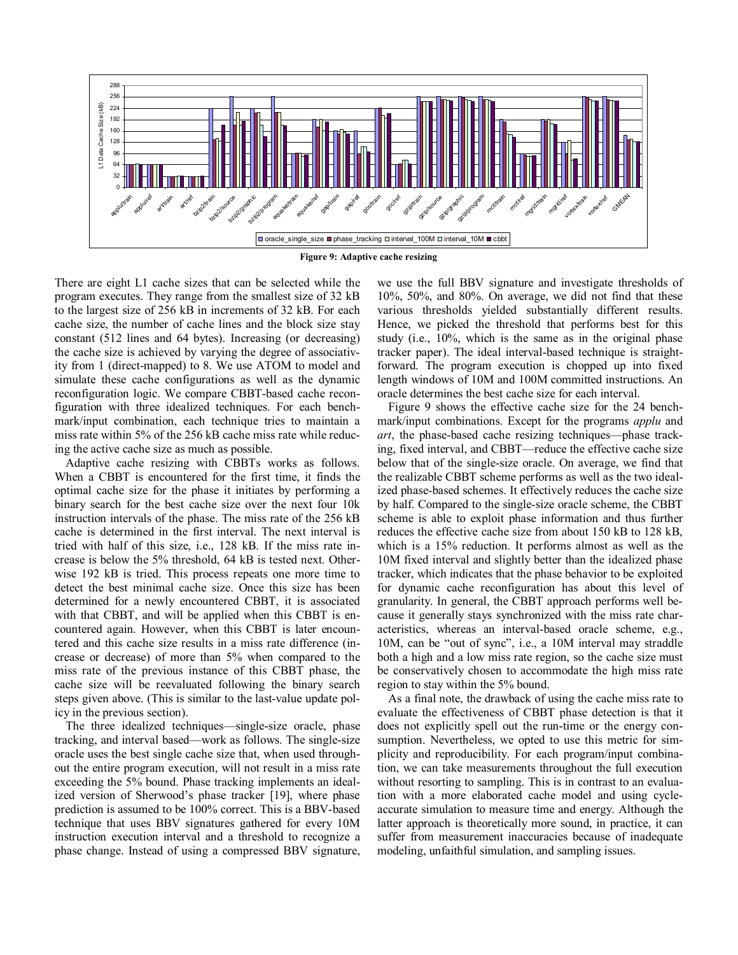

There are eight L1 cache sizes that can be selected while the program executes. They range from the smallest size of 32 kB to the largest size of 256 kB in increments of 32 kB. For each cache size, the number of cache lines and the block size stay constant (512 lines and 64 bytes). Increasing (or decreasing) the cache size is achieved by varying the degree of associativity from 1 (direct-mapped) to 8. We use ATOM to model and simulate these cache configurations as well as the dynamic reconfiguration logic. We compare CBBT-based cache reconfiguration with three idealized techniques. For each benchmark/input combination, each technique tries to maintain a miss rate within 5% of the 256 kB cache miss rate while reducing the active cache size as much as possible.

Adaptive cache resizing with CBBTs works as follows. When a CBBT is encountered for the first time, it finds the optimal cache size for the phase it initiates by performing a binary search for the best cache size over the next four 10k instruction intervals of the phase. The miss rate of the 256 kB cache is determined in the first interval. The next interval is tried with half of this size, i.e., 128 kB. If the miss rate increase is below the 5% threshold, 64 kB is tested next. Otherwise 192 kB is tried. This process repeats one more time to detect the best minimal cache size. Once this size has been determined for a newly encountered CBBT, it is associated with that CBBT, and will be applied when this CBBT is encountered again. However, when this CBBT is later encountered and this cache size results in a miss rate difference (increase or decrease) of more than 5% when compared to the miss rate of the previous instance of this CBBT phase, the cache size will be reevaluated following the binary search steps given above. (This is similar to the last-value update policy in the previous section).

The three idealized techniques—single-size oracle, phase tracking, and interval based—work as follows. The single-size oracle uses the best single cache size that, when used throughout the entire program execution, will not result in a miss rate exceeding the 5% bound. Phase tracking implements an idealized version of Sherwood's phase tracker [19], where phase prediction is assumed to be 100% correct. This is a BBV-based technique that uses BBV signatures gathered for every 10M instruction execution interval and a threshold to recognize a phase change. Instead of using a compressed BBV signature, we use the full BBV signature and investigate thresholds of 10%, 50%, and 80%. On average, we did not find that these various thresholds yielded substantially different results. Hence, we picked the threshold that performs best for this study (i.e., 10%, which is the same as in the original phase tracker paper). The ideal interval-based technique is straightforward. The program execution is chopped up into fixed length windows of 10M and 100M committed instructions. An oracle determines the best cache size for each interval.

Figure 9 shows the effective cache size for the 24 benchmark/input combinations. Except for the programs *applu* and *art*, the phase-based cache resizing techniques—phase tracking, fixed interval, and CBBT—reduce the effective cache size below that of the single-size oracle. On average, we find that the realizable CBBT scheme performs as well as the two idealized phase-based schemes. It effectively reduces the cache size by half. Compared to the single-size oracle scheme, the CBBT scheme is able to exploit phase information and thus further reduces the effective cache size from about 150 kB to 128 kB, which is a 15% reduction. It performs almost as well as the 10M fixed interval and slightly better than the idealized phase tracker, which indicates that the phase behavior to be exploited for dynamic cache reconfiguration has about this level of granularity. In general, the CBBT approach performs well because it generally stays synchronized with the miss rate characteristics, whereas an interval-based oracle scheme, e.g., 10M, can be "out of sync", i.e., a 10M interval may straddle both a high and a low miss rate region, so the cache size must be conservatively chosen to accommodate the high miss rate region to stay within the 5% bound.

As a final note, the drawback of using the cache miss rate to evaluate the effectiveness of CBBT phase detection is that it does not explicitly spell out the run-time or the energy consumption. Nevertheless, we opted to use this metric for simplicity and reproducibility. For each program/input combination, we can take measurements throughout the full execution without resorting to sampling. This is in contrast to an evaluation with a more elaborated cache model and using cycleaccurate simulation to measure time and energy. Although the latter approach is theoretically more sound, in practice, it can suffer from measurement inaccuracies because of inadequate modeling, unfaithful simulation, and sampling issues.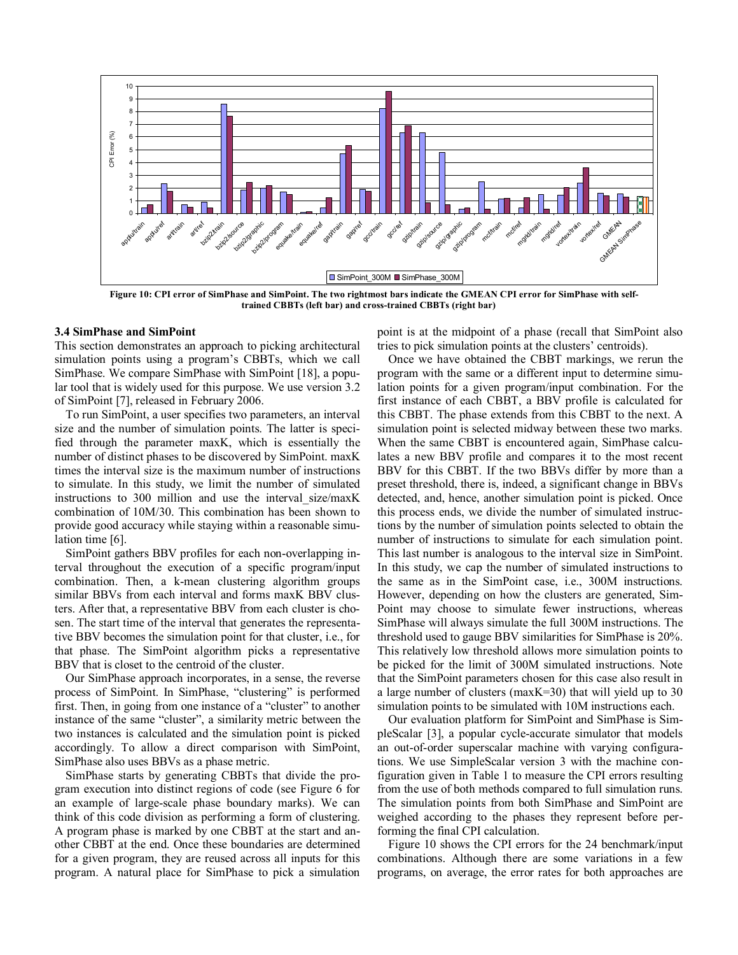

**Figure 10: CPI error of SimPhase and SimPoint. The two rightmost bars indicate the GMEAN CPI error for SimPhase with selftrained CBBTs (left bar) and cross-trained CBBTs (right bar)** 

## **3.4 SimPhase and SimPoint**

This section demonstrates an approach to picking architectural simulation points using a program's CBBTs, which we call SimPhase. We compare SimPhase with SimPoint [18], a popular tool that is widely used for this purpose. We use version 3.2 of SimPoint [7], released in February 2006.

To run SimPoint, a user specifies two parameters, an interval size and the number of simulation points. The latter is specified through the parameter maxK, which is essentially the number of distinct phases to be discovered by SimPoint. maxK times the interval size is the maximum number of instructions to simulate. In this study, we limit the number of simulated instructions to 300 million and use the interval\_size/maxK combination of 10M/30. This combination has been shown to provide good accuracy while staying within a reasonable simulation time [6].

SimPoint gathers BBV profiles for each non-overlapping interval throughout the execution of a specific program/input combination. Then, a k-mean clustering algorithm groups similar BBVs from each interval and forms maxK BBV clusters. After that, a representative BBV from each cluster is chosen. The start time of the interval that generates the representative BBV becomes the simulation point for that cluster, i.e., for that phase. The SimPoint algorithm picks a representative BBV that is closet to the centroid of the cluster.

Our SimPhase approach incorporates, in a sense, the reverse process of SimPoint. In SimPhase, "clustering" is performed first. Then, in going from one instance of a "cluster" to another instance of the same "cluster", a similarity metric between the two instances is calculated and the simulation point is picked accordingly. To allow a direct comparison with SimPoint, SimPhase also uses BBVs as a phase metric.

SimPhase starts by generating CBBTs that divide the program execution into distinct regions of code (see Figure 6 for an example of large-scale phase boundary marks). We can think of this code division as performing a form of clustering. A program phase is marked by one CBBT at the start and another CBBT at the end. Once these boundaries are determined for a given program, they are reused across all inputs for this program. A natural place for SimPhase to pick a simulation

point is at the midpoint of a phase (recall that SimPoint also tries to pick simulation points at the clusters' centroids).

Once we have obtained the CBBT markings, we rerun the program with the same or a different input to determine simulation points for a given program/input combination. For the first instance of each CBBT, a BBV profile is calculated for this CBBT. The phase extends from this CBBT to the next. A simulation point is selected midway between these two marks. When the same CBBT is encountered again, SimPhase calculates a new BBV profile and compares it to the most recent BBV for this CBBT. If the two BBVs differ by more than a preset threshold, there is, indeed, a significant change in BBVs detected, and, hence, another simulation point is picked. Once this process ends, we divide the number of simulated instructions by the number of simulation points selected to obtain the number of instructions to simulate for each simulation point. This last number is analogous to the interval size in SimPoint. In this study, we cap the number of simulated instructions to the same as in the SimPoint case, i.e., 300M instructions. However, depending on how the clusters are generated, Sim-Point may choose to simulate fewer instructions, whereas SimPhase will always simulate the full 300M instructions. The threshold used to gauge BBV similarities for SimPhase is 20%. This relatively low threshold allows more simulation points to be picked for the limit of 300M simulated instructions. Note that the SimPoint parameters chosen for this case also result in a large number of clusters (maxK=30) that will yield up to 30 simulation points to be simulated with 10M instructions each.

Our evaluation platform for SimPoint and SimPhase is SimpleScalar [3], a popular cycle-accurate simulator that models an out-of-order superscalar machine with varying configurations. We use SimpleScalar version 3 with the machine configuration given in Table 1 to measure the CPI errors resulting from the use of both methods compared to full simulation runs. The simulation points from both SimPhase and SimPoint are weighed according to the phases they represent before performing the final CPI calculation.

Figure 10 shows the CPI errors for the 24 benchmark/input combinations. Although there are some variations in a few programs, on average, the error rates for both approaches are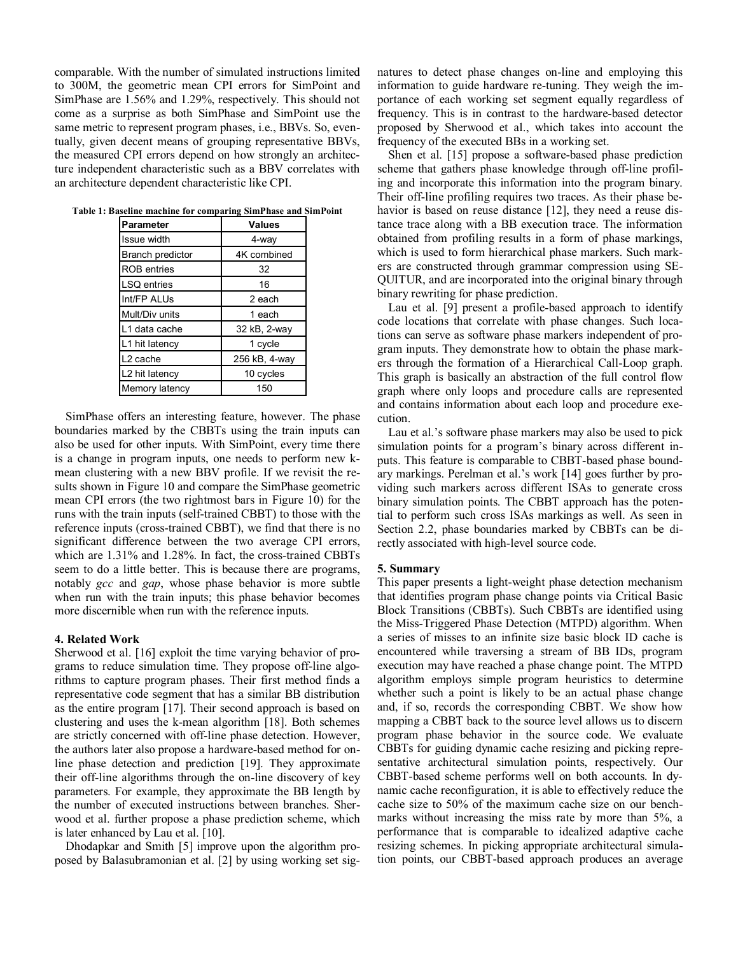comparable. With the number of simulated instructions limited to 300M, the geometric mean CPI errors for SimPoint and SimPhase are 1.56% and 1.29%, respectively. This should not come as a surprise as both SimPhase and SimPoint use the same metric to represent program phases, i.e., BBVs. So, eventually, given decent means of grouping representative BBVs, the measured CPI errors depend on how strongly an architecture independent characteristic such as a BBV correlates with an architecture dependent characteristic like CPI.

| <b>Parameter</b>     | <b>Values</b> |
|----------------------|---------------|
| Issue width          | 4-way         |
| Branch predictor     | 4K combined   |
| <b>ROB</b> entries   | 32            |
| <b>LSQ</b> entries   | 16            |
| Int/FP ALUs          | 2 each        |
| Mult/Div units       | 1 each        |
| L1 data cache        | 32 kB, 2-way  |
| L1 hit latency       | 1 cycle       |
| L <sub>2</sub> cache | 256 kB, 4-way |
| L2 hit latency       | 10 cycles     |
| Memory latency       | 150           |

**Table 1: Baseline machine for comparing SimPhase and SimPoint** 

SimPhase offers an interesting feature, however. The phase boundaries marked by the CBBTs using the train inputs can also be used for other inputs. With SimPoint, every time there is a change in program inputs, one needs to perform new kmean clustering with a new BBV profile. If we revisit the results shown in Figure 10 and compare the SimPhase geometric mean CPI errors (the two rightmost bars in Figure 10) for the runs with the train inputs (self-trained CBBT) to those with the reference inputs (cross-trained CBBT), we find that there is no significant difference between the two average CPI errors, which are 1.31% and 1.28%. In fact, the cross-trained CBBTs seem to do a little better. This is because there are programs, notably *gcc* and *gap*, whose phase behavior is more subtle when run with the train inputs; this phase behavior becomes more discernible when run with the reference inputs.

#### **4. Related Work**

Sherwood et al. [16] exploit the time varying behavior of programs to reduce simulation time. They propose off-line algorithms to capture program phases. Their first method finds a representative code segment that has a similar BB distribution as the entire program [17]. Their second approach is based on clustering and uses the k-mean algorithm [18]. Both schemes are strictly concerned with off-line phase detection. However, the authors later also propose a hardware-based method for online phase detection and prediction [19]. They approximate their off-line algorithms through the on-line discovery of key parameters. For example, they approximate the BB length by the number of executed instructions between branches. Sherwood et al. further propose a phase prediction scheme, which is later enhanced by Lau et al. [10].

Dhodapkar and Smith [5] improve upon the algorithm proposed by Balasubramonian et al. [2] by using working set signatures to detect phase changes on-line and employing this information to guide hardware re-tuning. They weigh the importance of each working set segment equally regardless of frequency. This is in contrast to the hardware-based detector proposed by Sherwood et al., which takes into account the frequency of the executed BBs in a working set.

Shen et al. [15] propose a software-based phase prediction scheme that gathers phase knowledge through off-line profiling and incorporate this information into the program binary. Their off-line profiling requires two traces. As their phase behavior is based on reuse distance [12], they need a reuse distance trace along with a BB execution trace. The information obtained from profiling results in a form of phase markings, which is used to form hierarchical phase markers. Such markers are constructed through grammar compression using SE-QUITUR, and are incorporated into the original binary through binary rewriting for phase prediction.

Lau et al. [9] present a profile-based approach to identify code locations that correlate with phase changes. Such locations can serve as software phase markers independent of program inputs. They demonstrate how to obtain the phase markers through the formation of a Hierarchical Call-Loop graph. This graph is basically an abstraction of the full control flow graph where only loops and procedure calls are represented and contains information about each loop and procedure execution.

Lau et al.'s software phase markers may also be used to pick simulation points for a program's binary across different inputs. This feature is comparable to CBBT-based phase boundary markings. Perelman et al.'s work [14] goes further by providing such markers across different ISAs to generate cross binary simulation points. The CBBT approach has the potential to perform such cross ISAs markings as well. As seen in Section 2.2, phase boundaries marked by CBBTs can be directly associated with high-level source code.

## **5. Summary**

This paper presents a light-weight phase detection mechanism that identifies program phase change points via Critical Basic Block Transitions (CBBTs). Such CBBTs are identified using the Miss-Triggered Phase Detection (MTPD) algorithm. When a series of misses to an infinite size basic block ID cache is encountered while traversing a stream of BB IDs, program execution may have reached a phase change point. The MTPD algorithm employs simple program heuristics to determine whether such a point is likely to be an actual phase change and, if so, records the corresponding CBBT. We show how mapping a CBBT back to the source level allows us to discern program phase behavior in the source code. We evaluate CBBTs for guiding dynamic cache resizing and picking representative architectural simulation points, respectively. Our CBBT-based scheme performs well on both accounts. In dynamic cache reconfiguration, it is able to effectively reduce the cache size to 50% of the maximum cache size on our benchmarks without increasing the miss rate by more than 5%, a performance that is comparable to idealized adaptive cache resizing schemes. In picking appropriate architectural simulation points, our CBBT-based approach produces an average